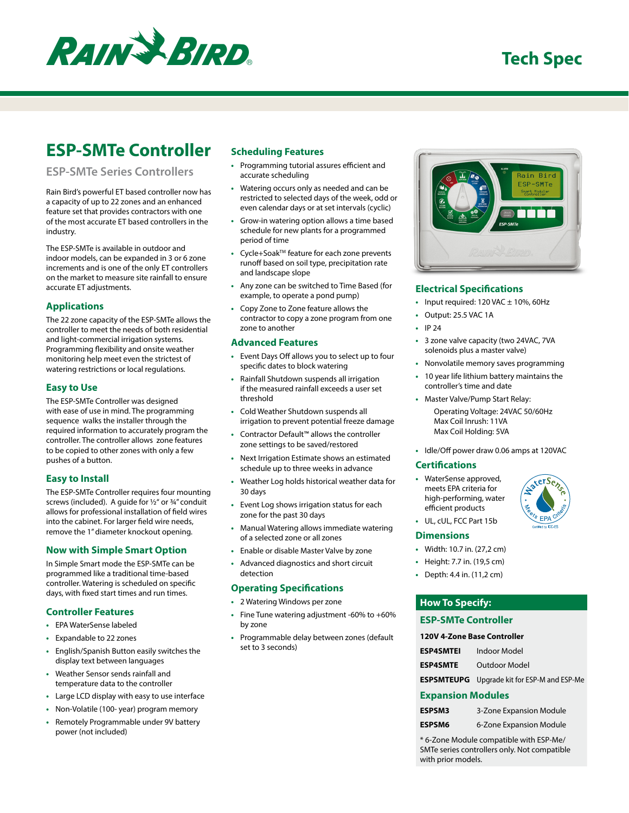

# **ESP-SMTe Controller**

# **ESP-SMTe Series Controllers**

Rain Bird's powerful ET based controller now has a capacity of up to 22 zones and an enhanced feature set that provides contractors with one of the most accurate ET based controllers in the industry.

The ESP-SMTe is available in outdoor and indoor models, can be expanded in 3 or 6 zone increments and is one of the only ET controllers on the market to measure site rainfall to ensure accurate ET adjustments.

#### **Applications**

The 22 zone capacity of the ESP-SMTe allows the controller to meet the needs of both residential and light-commercial irrigation systems. Programming flexibility and onsite weather monitoring help meet even the strictest of watering restrictions or local regulations.

#### **Easy to Use**

The ESP-SMTe Controller was designed with ease of use in mind. The programming sequence walks the installer through the required information to accurately program the controller. The controller allows zone features to be copied to other zones with only a few pushes of a button.

# **Easy to Install**

The ESP-SMTe Controller requires four mounting screws (included). A guide for ½" or ¾" conduit allows for professional installation of field wires into the cabinet. For larger field wire needs, remove the 1" diameter knockout opening.

# **Now with Simple Smart Option**

In Simple Smart mode the ESP-SMTe can be programmed like a traditional time-based controller. Watering is scheduled on specific days, with fixed start times and run times.

#### **Controller Features**

- **•** EPA WaterSense labeled
- **•** Expandable to 22 zones
- **•** English/Spanish Button easily switches the display text between languages
- **•** Weather Sensor sends rainfall and temperature data to the controller
- **•** Large LCD display with easy to use interface
- **•** Non-Volatile (100- year) program memory
- **•** Remotely Programmable under 9V battery power (not included)

# **Scheduling Features**

- **•** Programming tutorial assures efficient and accurate scheduling
- **•** Watering occurs only as needed and can be restricted to selected days of the week, odd or even calendar days or at set intervals (cyclic)
- **•** Grow-in watering option allows a time based schedule for new plants for a programmed period of time
- **•** Cycle+SoakTM feature for each zone prevents runoff based on soil type, precipitation rate and landscape slope
- **•** Any zone can be switched to Time Based (for example, to operate a pond pump)
- **•** Copy Zone to Zone feature allows the contractor to copy a zone program from one zone to another

#### **Advanced Features**

- **•** Event Days Off allows you to select up to four specific dates to block watering
- **•** Rainfall Shutdown suspends all irrigation if the measured rainfall exceeds a user set threshold
- **•** Cold Weather Shutdown suspends all irrigation to prevent potential freeze damage
- **•** Contractor Default™ allows the controller zone settings to be saved/restored
- **•** Next Irrigation Estimate shows an estimated schedule up to three weeks in advance
- **•** Weather Log holds historical weather data for 30 days
- **•** Event Log shows irrigation status for each zone for the past 30 days
- **•** Manual Watering allows immediate watering of a selected zone or all zones
- **•** Enable or disable Master Valve by zone
- **•** Advanced diagnostics and short circuit detection

#### **Operating Specifications**

- **•** 2 Watering Windows per zone
- **•** Fine Tune watering adjustment -60% to +60% by zone
- **•** Programmable delay between zones (default set to 3 seconds)



#### **Electrical Specifications**

- **•** Input required: 120 VAC ± 10%, 60Hz
- **•** Output: 25.5 VAC 1A
- **•** IP 24
- **•** 3 zone valve capacity (two 24VAC, 7VA solenoids plus a master valve)
- **•** Nonvolatile memory saves programming
- **•** 10 year life lithium battery maintains the controller's time and date
- **•** Master Valve/Pump Start Relay:

Operating Voltage: 24VAC 50/60Hz Max Coil Inrush: 11VA Max Coil Holding: 5VA

**•** Idle/Off power draw 0.06 amps at 120VAC

#### **Certifications**

**•** WaterSense approved, meets EPA criteria for high-performing, water efficient products



 $xeiSe<sub>z</sub>$ 

**•** UL, cUL, FCC Part 15b

#### **Dimensions**

- **•** Width: 10.7 in. (27,2 cm)
- **•** Height: 7.7 in. (19,5 cm)
- **•** Depth: 4.4 in. (11,2 cm)

# **How To Specify:**

# **ESP-SMTe Controller**

| <b>120V 4-Zone Base Controller</b> |                                                    |
|------------------------------------|----------------------------------------------------|
| <b>ESP4SMTEI</b>                   | Indoor Model                                       |
|                                    | <b>ESP4SMTE</b> Outdoor Model                      |
|                                    | <b>ESPSMTEUPG</b> Upgrade kit for ESP-M and ESP-Me |

#### **Expansion Modules**

| <b>ESPSM3</b> | 3-Zone Expansion Module |
|---------------|-------------------------|
| <b>ESPSM6</b> | 6-Zone Expansion Module |

\* 6-Zone Module compatible with ESP-Me/ SMTe series controllers only. Not compatible with prior models.